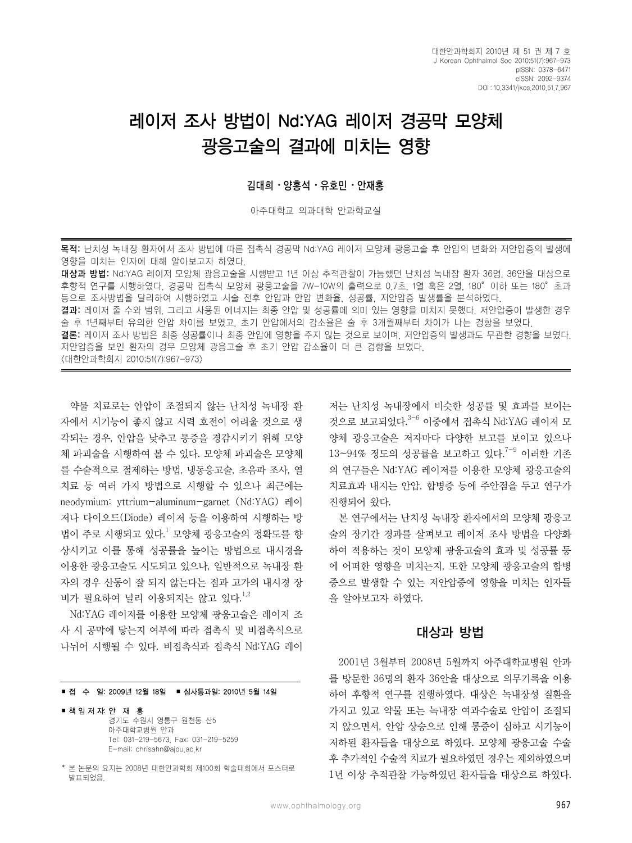# 레이저 조사 방법이 Nd:YAG 레이저 경공막 모양체 광응고술의 결과에 미치는 영향

#### 김대희⋅양홍석⋅유호민⋅안재홍

아주대학교 의과대학 안과학교실

목적: 난치성 녹내장 환자에서 조사 방법에 따른 접촉식 경공막 Nd:YAG 레이저 모양체 광응고술 후 안압의 변화와 저안압증의 발생에 영향을 미치는 인자에 대해 알아보고자 하였다.

대상과 방법: Nd:YAG 레이저 모양체 광응고술을 시행받고 1년 이상 추적관찰이 가능했던 난치성 녹내장 환자 36명, 36안을 대상으로 후향적 연구를 시행하였다. 경공막 접촉식 모양체 광응고술을 7W-10W의 출력으로 0.7초, 1열 혹은 2열, 180°이하 또는 180°초과 등으로 조사방법을 달리하여 시행하였고 시술 전후 안압과 안압 변화율, 성공률, 저안압증 발생률을 분석하였다. 결과: 레이저 줄 수와 범위, 그리고 사용된 에너지는 최종 안압 및 성공률에 의미 있는 영향을 미치지 못했다. 저안압증이 발생한 경우 술 후 1년째부터 유의한 안압 차이를 보였고, 초기 안압에서의 감소율은 술 후 3개월째부터 차이가 나는 경향을 보였다. 결론: 레이저 조사 방법은 최종 성공률이나 최종 안압에 영향을 주지 않는 것으로 보이며, 저안압증의 발생과도 무관한 경향을 보였다. 저안압증을 보인 환자의 경우 모양체 광응고술 후 초기 안압 감소율이 더 큰 경향을 보였다. <대한안과학회지 2010;51(7):967-973>

약물 치료로는 안압이 조절되지 않는 난치성 녹내장 환 자에서 시기능이 좋지 않고 시력 호전이 어려울 것으로 생 각되는 경우, 안압을 낮추고 통증을 경감시키기 위해 모양 체 파괴술을 시행하여 볼 수 있다. 모양체 파괴술은 모양체 를 수술적으로 절제하는 방법, 냉동응고술, 초음파 조사, 열 치료 등 여러 가지 방법으로 시행할 수 있으나 최근에는 neodymium: yttrium-aluminum-garnet (Nd:YAG) 레이 저나 다이오드(Diode) 레이저 등을 이용하여 시행하는 방 법이 주로 시행되고 있다.<sup>1</sup> 모양체 광응고술의 정확도를 향 상시키고 이를 통해 성공률을 높이는 방법으로 내시경을 이용한 광응고술도 시도되고 있으나, 일반적으로 녹내장 환 자의 경우 산동이 잘 되지 않는다는 점과 고가의 내시경 장 비가 필요하여 널리 이용되지는 않고 있다.<sup>1,2</sup>

Nd:YAG 레이저를 이용한 모양체 광응고술은 레이저 조 사 시 공막에 닿는지 여부에 따라 접촉식 및 비접촉식으로 나뉘어 시행될 수 있다. 비접촉식과 접촉식 Nd:YAG 레이

#### ■ 접 수 일: 2009년 12월 18일 ■ 심사통과일: 2010년 5월 14일

#### ■ 책 임 저 자: 안 재 홍

경기도 수원시 영통구 원천동 산5 아주대학교병원 안과 Tel: 031-219-5673, Fax: 031-219-5259 E-mail: chrisahn@ajou.ac.kr

\* 본 논문의 요지는 2008년 대한안과학회 제100회 학술대회에서 포스터로 발표되었음.

저는 난치성 녹내장에서 비슷한 성공률 및 효과를 보이는 것으로 보고되었다. 3-6 이중에서 접촉식 Nd:YAG 레이저 모 양체 광응고술은 저자마다 다양한 보고를 보이고 있으나 13~94% 정도의 성공률을 보고하고 있다.<sup>7-9</sup> 이러한 기존 의 연구들은 Nd:YAG 레이저를 이용한 모양체 광응고술의 치료효과 내지는 안압, 합병증 등에 주안점을 두고 연구가 진행되어 왔다.

본 연구에서는 난치성 녹내장 환자에서의 모양체 광응고 술의 장기간 경과를 살펴보고 레이저 조사 방법을 다양화 하여 적용하는 것이 모양체 광응고술의 효과 및 성공률 등 에 어떠한 영향을 미치는지, 또한 모양체 광응고술의 합병 증으로 발생할 수 있는 저안압증에 영향을 미치는 인자들 을 알아보고자 하였다.

#### 대상과 방법

2001년 3월부터 2008년 5월까지 아주대학교병원 안과 를 방문한 36명의 환자 36안을 대상으로 의무기록을 이용 하여 후향적 연구를 진행하였다. 대상은 녹내장성 질환을 가지고 있고 약물 또는 녹내장 여과수술로 안압이 조절되 지 않으면서, 안압 상승으로 인해 통증이 심하고 시기능이 저하된 환자들을 대상으로 하였다. 모양체 광응고술 수술 후 추가적인 수술적 치료가 필요하였던 경우는 제외하였으며 1년 이상 추적관찰 가능하였던 환자들을 대상으로 하였다.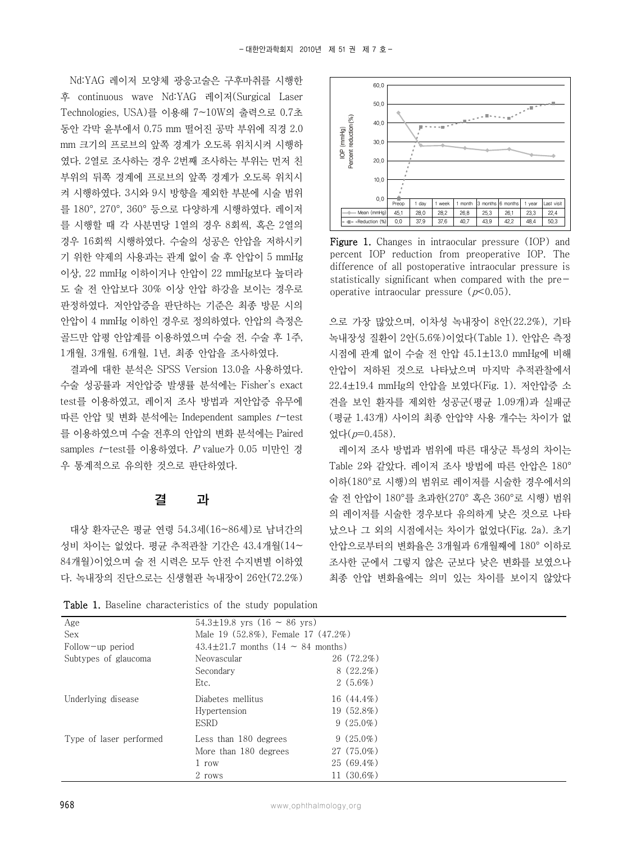Nd:YAG 레이저 모양체 광응고술은 구후마취를 시행한 후 continuous wave Nd:YAG 레이저(Surgical Laser Technologies, USA)를 이용해 7~10W의 출력으로 0.7초 동안 각막 윤부에서 0.75 mm 떨어진 공막 부위에 직경 2.0 mm 크기의 프로브의 앞쪽 경계가 오도록 위치시켜 시행하 였다. 2열로 조사하는 경우 2번째 조사하는 부위는 먼저 친 부위의 뒤쪽 경계에 프로브의 앞쪽 경계가 오도록 위치시 켜 시행하였다. 3시와 9시 방향을 제외한 부분에 시술 범위 를 180°, 270°, 360° 등으로 다양하게 시행하였다. 레이저 를 시행할 때 각 사분면당 1열의 경우 8회씩, 혹은 2열의 경우 16회씩 시행하였다. 수술의 성공은 안압을 저하시키 기 위한 약제의 사용과는 관계 없이 술 후 안압이 5 mmHg 이상, 22 mmHg 이하이거나 안압이 22 mmHg보다 높더라 도 술 전 안압보다 30% 이상 안압 하강을 보이는 경우로 판정하였다. 저안압증을 판단하는 기준은 최종 방문 시의 안압이 4 mmHg 이하인 경우로 정의하였다. 안압의 측정은 골드만 압평 안압계를 이용하였으며 수술 전, 수술 후 1주, 1개월, 3개월, 6개월, 1년, 최종 안압을 조사하였다.

결과에 대한 분석은 SPSS Version 13.0을 사용하였다. 수술 성공률과 저안압증 발생률 분석에는 Fisher's exact test를 이용하였고, 레이저 조사 방법과 저안압증 유무에 따른 안압 및 변화 분석에는 Independent samples  $t$ -test 를 이용하였으며 수술 전후의 안압의 변화 분석에는 Paired samples  $t$ -test를 이용하였다.  $P$  value가 0.05 미만인 경 우 통계적으로 유의한 것으로 판단하였다.

### 결 과

대상 환자군은 평균 연령 54.3세(16~86세)로 남녀간의 성비 차이는 없었다. 평균 추적관찰 기간은 43.4개월(14~ 84개월)이었으며 술 전 시력은 모두 안전 수지변별 이하였 다. 녹내장의 진단으로는 신생혈관 녹내장이 26안(72.2%)

Table 1. Baseline characteristics of the study population



Figure 1. Changes in intraocular pressure (IOP) and percent IOP reduction from preoperative IOP. The difference of all postoperative intraocular pressure is statistically significant when compared with the preoperative intraocular pressure  $(p<0.05)$ .

으로 가장 많았으며, 이차성 녹내장이 8안(22.2%), 기타 녹내장성 질환이 2안(5.6%)이었다(Table 1). 안압은 측정 시점에 관계 없이 수술 전 안압 45.1±13.0 mmHg에 비해 안압이 저하된 것으로 나타났으며 마지막 추적관찰에서 22.4±19.4 mmHg의 안압을 보였다(Fig. 1). 저안압증 소 견을 보인 환자를 제외한 성공군(평균 1.09개)과 실패군 (평균 1.43개) 사이의 최종 안압약 사용 개수는 차이가 없 었다(p=0.458).

레이저 조사 방법과 범위에 따른 대상군 특성의 차이는 Table 2와 같았다. 레이저 조사 방법에 따른 안압은 180° 이하(180°로 시행)의 범위로 레이저를 시술한 경우에서의 술 전 안압이 180°를 초과한(270° 혹은 360°로 시행) 범위 의 레이저를 시술한 경우보다 유의하게 낮은 것으로 나타 났으나 그 외의 시점에서는 차이가 없었다(Fig. 2a). 초기 안압으로부터의 변화율은 3개월과 6개월째에 180° 이하로 조사한 군에서 그렇지 않은 군보다 낮은 변화를 보였으나 최종 안압 변화율에는 의미 있는 차이를 보이지 않았다

| Age                     | $54.3 \pm 19.8$ yrs $(16 \sim 86$ yrs) |                                              |  |  |
|-------------------------|----------------------------------------|----------------------------------------------|--|--|
| Sex                     | Male 19 (52.8%), Female 17 (47.2%)     |                                              |  |  |
| Follow-up period        |                                        | $43.4 \pm 21.7$ months $(14 \sim 84$ months) |  |  |
| Subtypes of glaucoma    | Neovascular                            | $26(72.2\%)$                                 |  |  |
|                         | Secondary                              | $8(22.2\%)$                                  |  |  |
|                         | Etc.                                   | $2(5.6\%)$                                   |  |  |
| Underlying disease      | Diabetes mellitus                      | $16(44.4\%)$                                 |  |  |
|                         | Hypertension                           | $19(52.8\%)$                                 |  |  |
|                         | <b>ESRD</b>                            | $9(25.0\%)$                                  |  |  |
| Type of laser performed | Less than 180 degrees                  | $9(25.0\%)$                                  |  |  |
|                         | More than 180 degrees                  | $27(75.0\%)$                                 |  |  |
|                         | 1 row                                  | $25(69.4\%)$                                 |  |  |
|                         | 2 rows                                 | $11(30.6\%)$                                 |  |  |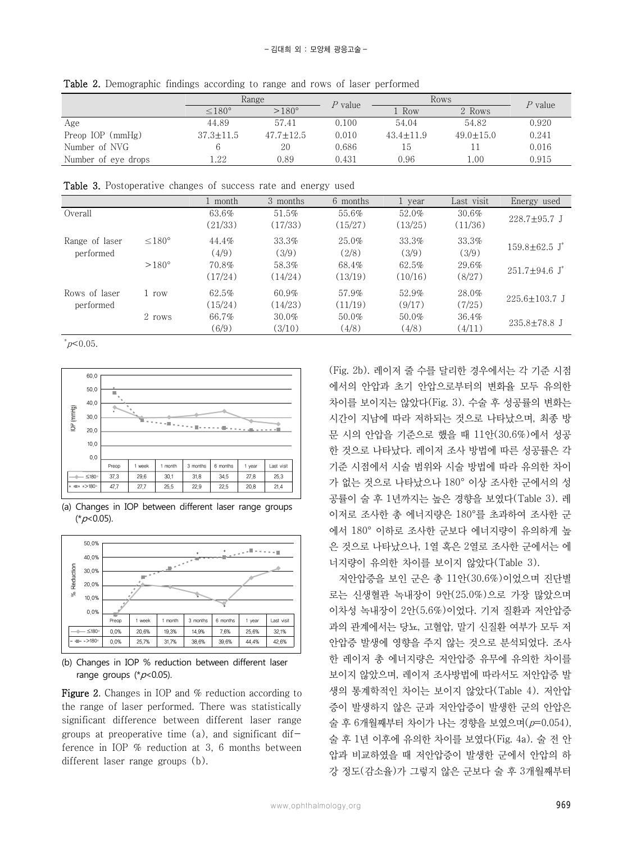|                     | Range           |                 | $P$ value | Rows          |               | $\it P$ value $\it$ |
|---------------------|-----------------|-----------------|-----------|---------------|---------------|---------------------|
|                     | $< 180^\circ$   | $>180^\circ$    |           | . Row         | 2 Rows        |                     |
| Age                 | 44.89           | 57.41           | 0.100     | 54.04         | 54.82         | 0.920               |
| Preop IOP (mmHg)    | $37.3 \pm 11.5$ | $47.7 \pm 12.5$ | 0.010     | $43.4 + 11.9$ | $49.0 + 15.0$ | 0.241               |
| Number of NVG       |                 | 20              | 0.686     | 15            |               | 0.016               |
| Number of eye drops | 1.22            | 0.89            | 0.431     | 0.96          | 1.00          | 0.915               |

Table 2. Demographic findings according to range and rows of laser performed

Table 3. Postoperative changes of success rate and energy used

|                |                  | 1 month | 3 months | 6 months | 1 year  | Last visit | Energy used                     |  |
|----------------|------------------|---------|----------|----------|---------|------------|---------------------------------|--|
| Overall        |                  | 63.6%   | 51.5%    | 55.6%    | 52.0%   | 30.6%      |                                 |  |
|                |                  | (21/33) | (17/33)  | (15/27)  | (13/25) | (11/36)    | $228.7 \pm 95.7$ J              |  |
| Range of laser | $\leq 180^\circ$ | 44.4%   | 33.3%    | $25.0\%$ | 33.3%   | 33.3%      | $159.8 \pm 62.5$ J <sup>*</sup> |  |
| performed      |                  | (4/9)   | (3/9)    | (2/8)    | (3/9)   | (3/9)      |                                 |  |
|                | $>180^\circ$     | 70.8%   | 58.3%    | 68.4%    | 62.5%   | 29.6%      |                                 |  |
|                |                  | (17/24) | (14/24)  | (13/19)  | (10/16) | (8/27)     | $251.7 \pm 94.6$ J <sup>*</sup> |  |
| Rows of laser  | 1 row            | 62.5%   | 60.9%    | 57.9%    | 52.9%   | 28.0%      | $225.6 \pm 103.7$ J             |  |
| performed      |                  | (15/24) | (14/23)  | (11/19)  | (9/17)  | (7/25)     |                                 |  |
|                | 2 rows           | 66.7%   | $30.0\%$ | 50.0%    | 50.0%   | 36.4%      |                                 |  |
|                |                  | (6/9)   | (3/10)   | (4/8)    | (4/8)   | (4/11)     | $235.8 \pm 78.8$ J              |  |

 $p<0.05$ .



<sup>(</sup>a) Changes in IOP between different laser range groups  $(*p<0.05).$ 



(b) Changes in IOP % reduction between different laser range groups  $(*p<0.05)$ .

Figure 2. Changes in IOP and % reduction according to the range of laser performed. There was statistically significant difference between different laser range groups at preoperative time  $(a)$ , and significant difference in IOP % reduction at 3, 6 months between different laser range groups (b).

(Fig. 2b). 레이저 줄 수를 달리한 경우에서는 각 기준 시점 에서의 안압과 초기 안압으로부터의 변화율 모두 유의한 차이를 보이지는 않았다(Fig. 3). 수술 후 성공률의 변화는 시간이 지남에 따라 저하되는 것으로 나타났으며, 최종 방 문 시의 안압을 기준으로 했을 때 11안(30.6%)에서 성공 한 것으로 나타났다. 레이저 조사 방법에 따른 성공률은 각 기준 시점에서 시술 범위와 시술 방법에 따라 유의한 차이 가 없는 것으로 나타났으나 180° 이상 조사한 군에서의 성 공률이 술 후 1년까지는 높은 경향을 보였다(Table 3). 레 이저로 조사한 총 에너지량은 180°를 초과하여 조사한 군 에서 180° 이하로 조사한 군보다 에너지량이 유의하게 높 은 것으로 나타났으나, 1열 혹은 2열로 조사한 군에서는 에 너지량이 유의한 차이를 보이지 않았다(Table 3).

저안압증을 보인 군은 총 11안(30.6%)이었으며 진단별 로는 신생혈관 녹내장이 9안(25.0%)으로 가장 많았으며 이차성 녹내장이 2안(5.6%)이었다. 기저 질환과 저안압증 과의 관계에서는 당뇨, 고혈압, 말기 신질환 여부가 모두 저 안압증 발생에 영향을 주지 않는 것으로 분석되었다. 조사 한 레이저 총 에너지량은 저안압증 유무에 유의한 차이를 보이지 않았으며, 레이저 조사방법에 따라서도 저안압증 발 생의 통계학적인 차이는 보이지 않았다(Table 4). 저안압 증이 발생하지 않은 군과 저안압증이 발생한 군의 안압은 술 후 6개월째부터 차이가 나는 경향을 보였으며(p=0.054), 술 후 1년 이후에 유의한 차이를 보였다(Fig. 4a). 술 전 안 압과 비교하였을 때 저안압증이 발생한 군에서 안압의 하 강 정도(감소율)가 그렇지 않은 군보다 술 후 3개월째부터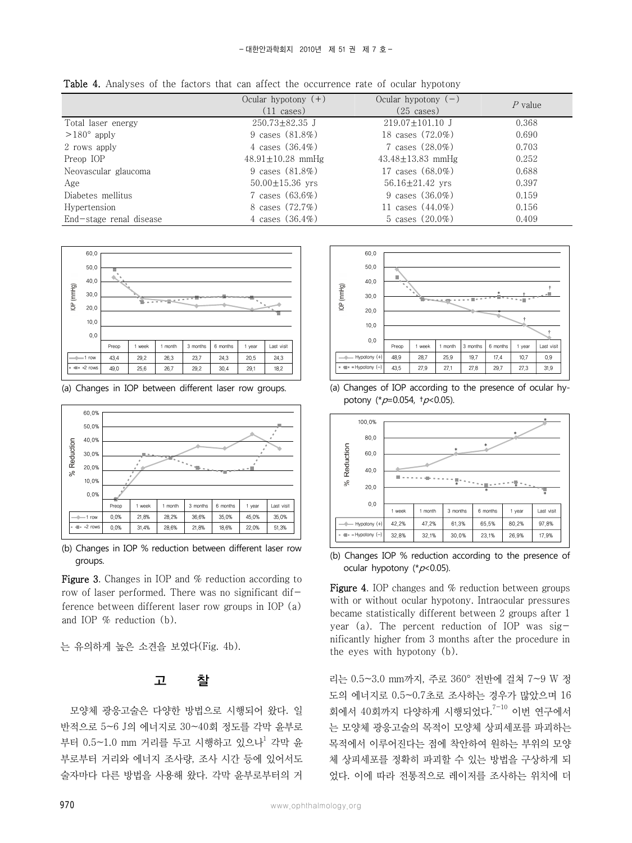|                         | Ocular hypotony $(+)$<br>$(11 \text{ cases})$ | Ocular hypotony $(-)$<br>$(25 \cases)$ | $P$ value |
|-------------------------|-----------------------------------------------|----------------------------------------|-----------|
| Total laser energy      | $250.73 \pm 82.35$ J                          | $219.07 \pm 101.10$ J                  | 0.368     |
| $>180^\circ$ apply      | 9 cases $(81.8\%)$                            | 18 cases (72.0%)                       | 0.690     |
| 2 rows apply            | 4 cases $(36.4\%)$                            | 7 cases $(28.0\%)$                     | 0.703     |
| Preop IOP               | $48.91 \pm 10.28$ mmHg                        | $43.48 \pm 13.83$ mmHg                 | 0.252     |
| Neovascular glaucoma    | 9 cases $(81.8\%)$                            | 17 cases (68.0%)                       | 0.688     |
| Age                     | $50.00 \pm 15.36$ yrs                         | $56.16 \pm 21.42$ yrs                  | 0.397     |
| Diabetes mellitus       | 7 cases $(63.6\%)$                            | 9 cases $(36.0\%)$                     | 0.159     |
| Hypertension            | 8 cases (72.7%)                               | 11 cases $(44.0\%)$                    | 0.156     |
| End-stage renal disease | 4 cases $(36.4\%)$                            | 5 cases $(20.0\%)$                     | 0.409     |

Table 4. Analyses of the factors that can affect the occurrence rate of ocular hypotony



(a) Changes in IOP between different laser row groups.



(b) Changes in IOP % reduction between different laser row groups.

Figure 3. Changes in IOP and % reduction according to row of laser performed. There was no significant difference between different laser row groups in IOP (a) and IOP % reduction (b).

는 유의하게 높은 소견을 보였다(Fig. 4b).

### 고 찰

모양체 광응고술은 다양한 방법으로 시행되어 왔다. 일 반적으로 5~6 J의 에너지로 30~40회 정도를 각막 윤부로 부터 0.5~1.0 mm 거리를 두고 시행하고 있으나<sup>1</sup> 각막 유 부로부터 거리와 에너지 조사량, 조사 시간 등에 있어서도 술자마다 다른 방법을 사용해 왔다. 각막 윤부로부터의 거



(a) Changes of IOP according to the presence of ocular hypotony (\* $p=0.054$ , † $p<0.05$ ).



(b) Changes IOP % reduction according to the presence of ocular hypotony ( $p$ <0.05).

Figure 4. IOP changes and % reduction between groups with or without ocular hypotony. Intraocular pressures became statistically different between 2 groups after 1 year (a). The percent reduction of IOP was  $sig$ nificantly higher from 3 months after the procedure in the eyes with hypotony (b).

리는 0.5~3.0 mm까지, 주로 360° 전반에 걸쳐 7~9 W 정 도의 에너지로 0.5~0.7초로 조사하는 경우가 많았으며 16 회에서 40회까지 다양하게 시행되었다. 7-10 이번 연구에서 는 모양체 광응고술의 목적이 모양체 상피세포를 파괴하는 목적에서 이루어진다는 점에 착안하여 원하는 부위의 모양 체 상피세포를 정확히 파괴할 수 있는 방법을 구상하게 되 었다. 이에 따라 전통적으로 레이저를 조사하는 위치에 더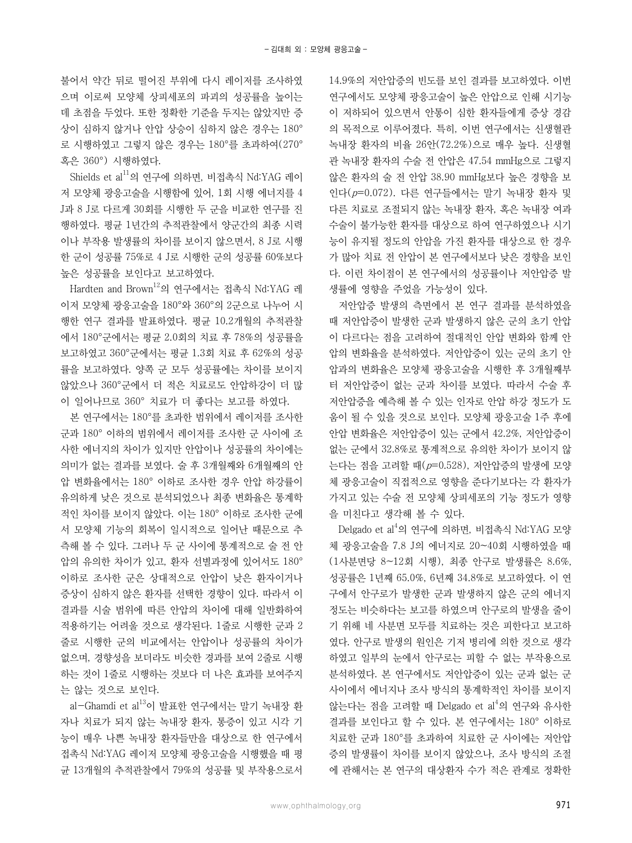불어서 약간 뒤로 떨어진 부위에 다시 레이저를 조사하였 으며 이로써 모양체 상피세포의 파괴의 성공률을 높이는 데 초점을 두었다. 또한 정확한 기준을 두지는 않았지만 증 상이 심하지 않거나 안압 상승이 심하지 않은 경우는 180° 로 시행하였고 그렇지 않은 경우는 180°를 초과하여(270° 혹은 360°) 시행하였다.

Shields et al<sup>11</sup>의 연구에 의하면, 비접촉식 Nd:YAG 레이 저 모양체 광응고술을 시행함에 있어, 1회 시행 에너지를 4 J과 8 J로 다르게 30회를 시행한 두 군을 비교한 연구를 진 행하였다. 평균 1년간의 추적관찰에서 양군간의 최종 시력 이나 부작용 발생률의 차이를 보이지 않으면서, 8 J로 시행 한 군이 성공률 75%로 4 J로 시행한 군의 성공률 60%보다 높은 성공률을 보인다고 보고하였다.

Hardten and Brown<sup>12</sup>의 연구에서는 접촉식 Nd:YAG 레 이저 모양체 광응고술을 180°와 360°의 2군으로 나누어 시 행한 연구 결과를 발표하였다. 평균 10.2개월의 추적관찰 에서 180°군에서는 평균 2.0회의 치료 후 78%의 성공률을 보고하였고 360°군에서는 평균 1.3회 치료 후 62%의 성공 률을 보고하였다. 양쪽 군 모두 성공률에는 차이를 보이지 않았으나 360°군에서 더 적은 치료로도 안압하강이 더 많 이 일어나므로 360° 치료가 더 좋다는 보고를 하였다.

본 연구에서는 180°를 초과한 범위에서 레이저를 조사한 군과 180° 이하의 범위에서 레이저를 조사한 군 사이에 조 사한 에너지의 차이가 있지만 안압이나 성공률의 차이에는 의미가 없는 결과를 보였다. 술 후 3개월째와 6개월째의 안 압 변화율에서는 180° 이하로 조사한 경우 안압 하강률이 유의하게 낮은 것으로 분석되었으나 최종 변화율은 통계학 적인 차이를 보이지 않았다. 이는 180° 이하로 조사한 군에 서 모양체 기능의 회복이 일시적으로 일어난 때문으로 추 측해 볼 수 있다. 그러나 두 군 사이에 통계적으로 술 전 안 압의 유의한 차이가 있고, 환자 선별과정에 있어서도 180° 이하로 조사한 군은 상대적으로 안압이 낮은 환자이거나 증상이 심하지 않은 환자를 선택한 경향이 있다. 따라서 이 결과를 시술 범위에 따른 안압의 차이에 대해 일반화하여 적용하기는 어려울 것으로 생각된다. 1줄로 시행한 군과 2 줄로 시행한 군의 비교에서는 안압이나 성공률의 차이가 없으며, 경향성을 보더라도 비슷한 경과를 보여 2줄로 시행 하는 것이 1줄로 시행하는 것보다 더 나은 효과를 보여주지 는 않는 것으로 보인다.

al-Ghamdi et al<sup>13</sup>이 발표한 연구에서는 말기 녹내장 환 자나 치료가 되지 않는 녹내장 환자, 통증이 있고 시각 기 능이 매우 나쁜 녹내장 환자들만을 대상으로 한 연구에서 접촉식 Nd:YAG 레이저 모양체 광응고술을 시행했을 때 평 균 13개월의 추적관찰에서 79%의 성공률 및 부작용으로서 14.9%의 저안압증의 빈도를 보인 결과를 보고하였다. 이번 연구에서도 모양체 광응고술이 높은 안압으로 인해 시기능 이 저하되어 있으면서 안통이 심한 환자들에게 증상 경감 의 목적으로 이루어졌다. 특히, 이번 연구에서는 신생혈관 녹내장 환자의 비율 26안(72.2%)으로 매우 높다. 신생혈 관 녹내장 환자의 수술 전 안압은 47.54 mmHg으로 그렇지 않은 환자의 술 전 안압 38.90 mmHg보다 높은 경향을 보 인다(p=0.072). 다른 연구들에서는 말기 녹내장 환자 및 다른 치료로 조절되지 않는 녹내장 환자, 혹은 녹내장 여과 수술이 불가능한 환자를 대상으로 하여 연구하였으나 시기 능이 유지될 정도의 안압을 가진 환자를 대상으로 한 경우 가 많아 치료 전 안압이 본 연구에서보다 낮은 경향을 보인 다. 이런 차이점이 본 연구에서의 성공률이나 저안압증 발 생률에 영향을 주었을 가능성이 있다.

저안압증 발생의 측면에서 본 연구 결과를 분석하였을 때 저안압증이 발생한 군과 발생하지 않은 군의 초기 안압 이 다르다는 점을 고려하여 절대적인 안압 변화와 함께 안 압의 변화율을 분석하였다. 저안압증이 있는 군의 초기 안 압과의 변화율은 모양체 광응고술을 시행한 후 3개월째부 터 저안압증이 없는 군과 차이를 보였다. 따라서 수술 후 저안압증을 예측해 볼 수 있는 인자로 안압 하강 정도가 도 움이 될 수 있을 것으로 보인다. 모양체 광응고술 1주 후에 안압 변화율은 저안압증이 있는 군에서 42.2%, 저안압증이 없는 군에서 32.8%로 통계적으로 유의한 차이가 보이지 않 는다는 점을 고려할 때(p=0.528), 저안압증의 발생에 모양 체 광응고술이 직접적으로 영향을 준다기보다는 각 환자가 가지고 있는 수술 전 모양체 상피세포의 기능 정도가 영향 을 미친다고 생각해 볼 수 있다.

Delgado et al<sup>4</sup>의 연구에 의하면, 비접촉식 Nd:YAG 모양 체 광응고술을 7.8 J의 에너지로 20~40회 시행하였을 때 (1사분면당 8~12회 시행), 최종 안구로 발생률은 8.6%, 성공률은 1년째 65.0%, 6년째 34.8%로 보고하였다. 이 연 구에서 안구로가 발생한 군과 발생하지 않은 군의 에너지 정도는 비슷하다는 보고를 하였으며 안구로의 발생을 줄이 기 위해 네 사분면 모두를 치료하는 것은 피한다고 보고하 였다. 안구로 발생의 원인은 기저 병리에 의한 것으로 생각 하였고 일부의 눈에서 안구로는 피할 수 없는 부작용으로 분석하였다. 본 연구에서도 저안압증이 있는 군과 없는 군 사이에서 에너지나 조사 방식의 통계학적인 차이를 보이지 않는다는 점을 고려할 때 Delgado et al<sup>4</sup>의 연구와 유사한 결과를 보인다고 할 수 있다. 본 연구에서는 180° 이하로 치료한 군과 180°를 초과하여 치료한 군 사이에는 저안압 증의 발생률이 차이를 보이지 않았으나, 조사 방식의 조절 에 관해서는 본 연구의 대상환자 수가 적은 관계로 정확한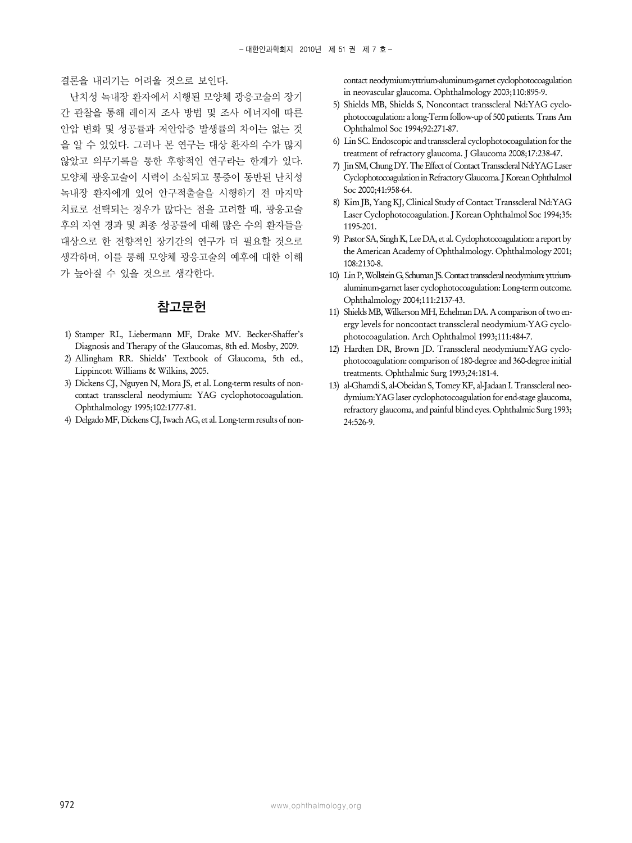결론을 내리기는 어려울 것으로 보인다.

난치성 녹내장 환자에서 시행된 모양체 광응고술의 장기 간 관찰을 통해 레이저 조사 방법 및 조사 에너지에 따른 안압 변화 및 성공률과 저안압증 발생률의 차이는 없는 것 을 알 수 있었다. 그러나 본 연구는 대상 환자의 수가 많지 않았고 의무기록을 통한 후향적인 연구라는 한계가 있다. 모양체 광응고술이 시력이 소실되고 통증이 동반된 난치성 녹내장 환자에게 있어 안구적출술을 시행하기 전 마지막 치료로 선택되는 경우가 많다는 점을 고려할 때, 광응고술 후의 자연 경과 및 최종 성공률에 대해 많은 수의 환자들을 대상으로 한 전향적인 장기간의 연구가 더 필요할 것으로 생각하며, 이를 통해 모양체 광응고술의 예후에 대한 이해 가 높아질 수 있을 것으로 생각한다.

### 참고문헌

- 1) Stamper RL, Liebermann MF, Drake MV. Becker-Shaffer's Diagnosis and Therapy of the Glaucomas, 8th ed. Mosby, 2009.
- 2) Allingham RR. Shields' Textbook of Glaucoma, 5th ed., Lippincott Williams & Wilkins, 2005.
- 3) Dickens CJ, Nguyen N, Mora JS, et al. Long-term results of noncontact transscleral neodymium: YAG cyclophotocoagulation. Ophthalmology 1995;102:1777-81.
- 4) Delgado MF, Dickens CJ, Iwach AG, et al. Long-term results of non-

contact neodymium:yttrium-aluminum-garnet cyclophotocoagulation in neovascular glaucoma. Ophthalmology 2003;110:895-9.

- 5) Shields MB, Shields S, Noncontact transscleral Nd:YAG cyclophotocoagulation: a long-Term follow-up of 500 patients. Trans Am Ophthalmol Soc 1994;92:271-87.
- 6) Lin SC. Endoscopic and transscleral cyclophotocoagulation for the treatment of refractory glaucoma. J Glaucoma 2008;17:238-47.
- 7) Jin SM, Chung DY. The Effect of Contact Transscleral Nd:YAG Laser Cyclophotocoagulation in Refractory Glaucoma. J Korean Ophthalmol Soc 2000;41:958-64.
- 8) Kim JB, Yang KJ, Clinical Study of Contact Transscleral Nd:YAG Laser Cyclophotocoagulation. J Korean Ophthalmol Soc 1994;35: 1195-201.
- 9) Pastor SA, Singh K, Lee DA, et al. Cyclophotocoagulation: a report by the American Academy of Ophthalmology. Ophthalmology 2001; 108:2130-8.
- 10) Lin P, Wollstein G, Schuman JS. Contact transscleral neodymium: yttriumaluminum-garnet laser cyclophotocoagulation: Long-term outcome. Ophthalmology 2004;111:2137-43.
- 11) Shields MB, Wilkerson MH, Echelman DA. A comparison of two energy levels for noncontact transscleral neodymium-YAG cyclophotocoagulation. Arch Ophthalmol 1993;111:484-7.
- 12) Hardten DR, Brown JD. Transscleral neodymium:YAG cyclophotocoagulation: comparison of 180-degree and 360-degree initial treatments. Ophthalmic Surg 1993;24:181-4.
- 13) al-Ghamdi S, al-Obeidan S, Tomey KF, al-Jadaan I. Transscleral neodymium:YAG laser cyclophotocoagulation for end-stage glaucoma, refractory glaucoma, and painful blind eyes. Ophthalmic Surg 1993; 24:526-9.